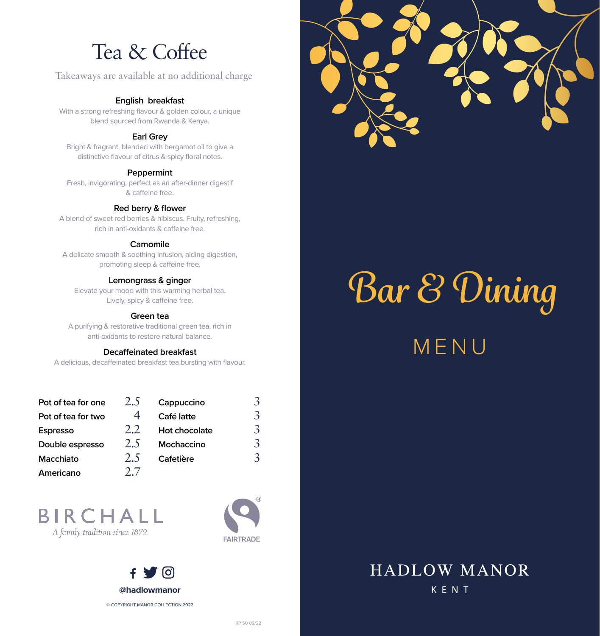# Tea & Coffee

## Takeaways are available at no additional charge

## **English breakfast**

With a strong refreshing flavour & golden colour, a unique blend sourced from Rwanda & Kenya.

## **Earl Grey**

Bright & fragrant, blended with bergamot oil to give a distinctive flavour of citrus & spicy floral notes.

#### **Peppermint**

Fresh, invigorating, perfect as an after-dinner digestif & caffeine free.

## **Red berry & flower**

A blend of sweet red berries & hibiscus. Fruity, refreshing, rich in anti-oxidants & caffeine free.

## **Camomile**

A delicate smooth & soothing infusion, aiding digestion, promoting sleep & caffeine free.

## **Lemongrass & ginger**

Elevate your mood with this warming herbal tea. Lively, spicy & caffeine free.

## **Green tea**

A purifying & restorative traditional green tea, rich in anti-oxidants to restore natural balance.

## **Decaffeinated breakfast**

A delicious, decaffeinated breakfast tea bursting with flavour.

| Pot of tea for one | 2.5  | Cappuccino    | 3 |
|--------------------|------|---------------|---|
| Pot of tea for two |      | Café latte    | 3 |
| <b>Espresso</b>    | 2.2. | Hot chocolate | 3 |
| Double espresso    | 2.5  | Mochaccino    | 3 |
| <b>Macchiato</b>   | 2.5  | Cafetière     | 3 |
| Americano          |      |               |   |

## **BIRCHALL** A family tradition since 1872





# *Bar & Dining*

MENU

## **HADLOW MANOR** KENT

**FAIRTRADE**